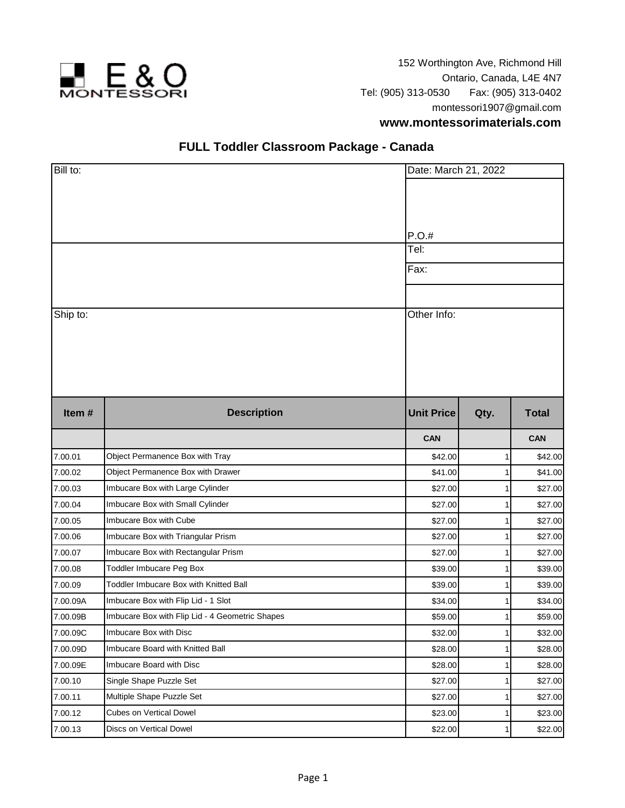

152 Worthington Ave, Richmond Hill Ontario, Canada, L4E 4N7 Tel: (905) 313-0530 Fax: (905) 313-0402 montessori1907@gmail.com

## **www.montessorimaterials.com**

## **FULL Toddler Classroom Package - Canada**

| Bill to: |                                                 | Date: March 21, 2022                 |      |              |  |
|----------|-------------------------------------------------|--------------------------------------|------|--------------|--|
| Ship to: |                                                 | P.O.#<br>Tel:<br>Fax:<br>Other Info: |      |              |  |
| Item#    | <b>Description</b>                              | <b>Unit Price</b>                    | Qty. | <b>Total</b> |  |
|          |                                                 | <b>CAN</b>                           |      | <b>CAN</b>   |  |
| 7.00.01  | Object Permanence Box with Tray                 | \$42.00                              |      | \$42.00      |  |
| 7.00.02  | Object Permanence Box with Drawer               | \$41.00                              |      | \$41.00      |  |
| 7.00.03  | Imbucare Box with Large Cylinder                | \$27.00                              |      | \$27.00      |  |
| 7.00.04  | Imbucare Box with Small Cylinder                | \$27.00                              |      | \$27.00      |  |
| 7.00.05  | Imbucare Box with Cube                          | \$27.00                              |      | \$27.00      |  |
| 7.00.06  | Imbucare Box with Triangular Prism              | \$27.00                              |      | \$27.00      |  |
| 7.00.07  | Imbucare Box with Rectangular Prism             | \$27.00                              |      | \$27.00      |  |
| 7.00.08  | Toddler Imbucare Peg Box                        | \$39.00                              |      | \$39.00      |  |
| 7.00.09  | Toddler Imbucare Box with Knitted Ball          | \$39.00                              |      | \$39.00      |  |
| 7.00.09A | Imbucare Box with Flip Lid - 1 Slot             | \$34.00                              |      | \$34.00      |  |
| 7.00.09B | Imbucare Box with Flip Lid - 4 Geometric Shapes | \$59.00                              |      | \$59.00      |  |
| 7.00.09C | Imbucare Box with Disc                          | \$32.00                              | 1    | \$32.00      |  |
| 7.00.09D | Imbucare Board with Knitted Ball                | \$28.00                              | 1    | \$28.00      |  |
| 7.00.09E | Imbucare Board with Disc                        | \$28.00                              | 1    | \$28.00      |  |
| 7.00.10  | Single Shape Puzzle Set                         | \$27.00                              |      | \$27.00      |  |
| 7.00.11  | Multiple Shape Puzzle Set                       | \$27.00                              |      | \$27.00      |  |
| 7.00.12  | Cubes on Vertical Dowel                         | \$23.00                              | 1    | \$23.00      |  |
| 7.00.13  | Discs on Vertical Dowel                         | \$22.00                              |      | \$22.00      |  |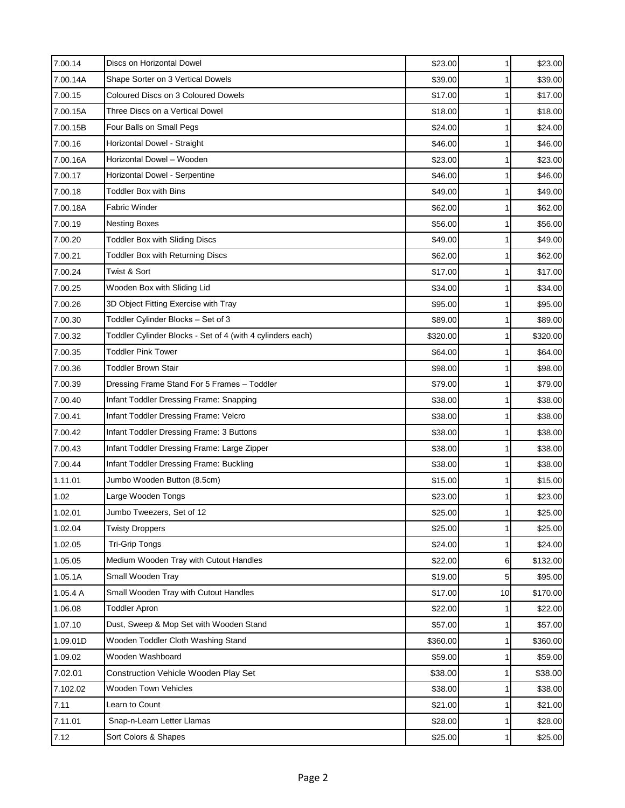| 7.00.14  | Discs on Horizontal Dowel                                  | \$23.00  | $\mathbf{1}$    | \$23.00  |
|----------|------------------------------------------------------------|----------|-----------------|----------|
| 7.00.14A | Shape Sorter on 3 Vertical Dowels                          | \$39.00  | 1               | \$39.00  |
| 7.00.15  | Coloured Discs on 3 Coloured Dowels                        | \$17.00  | 1               | \$17.00  |
| 7.00.15A | Three Discs on a Vertical Dowel                            | \$18.00  | 1               | \$18.00  |
| 7.00.15B | Four Balls on Small Pegs                                   | \$24.00  | $\mathbf{1}$    | \$24.00  |
| 7.00.16  | Horizontal Dowel - Straight                                | \$46.00  | 1               | \$46.00  |
| 7.00.16A | Horizontal Dowel - Wooden                                  | \$23.00  | 1               | \$23.00  |
| 7.00.17  | Horizontal Dowel - Serpentine                              | \$46.00  | 1               | \$46.00  |
| 7.00.18  | Toddler Box with Bins                                      | \$49.00  | 1               | \$49.00  |
| 7.00.18A | Fabric Winder                                              | \$62.00  | 1               | \$62.00  |
| 7.00.19  | <b>Nesting Boxes</b>                                       | \$56.00  | 1               | \$56.00  |
| 7.00.20  | <b>Toddler Box with Sliding Discs</b>                      | \$49.00  | 1               | \$49.00  |
| 7.00.21  | <b>Toddler Box with Returning Discs</b>                    | \$62.00  | $\mathbf{1}$    | \$62.00  |
| 7.00.24  | Twist & Sort                                               | \$17.00  | 1               | \$17.00  |
| 7.00.25  | Wooden Box with Sliding Lid                                | \$34.00  | 1               | \$34.00  |
| 7.00.26  | 3D Object Fitting Exercise with Tray                       | \$95.00  | 1               | \$95.00  |
| 7.00.30  | Toddler Cylinder Blocks - Set of 3                         | \$89.00  | 1               | \$89.00  |
| 7.00.32  | Toddler Cylinder Blocks - Set of 4 (with 4 cylinders each) | \$320.00 | $\mathbf{1}$    | \$320.00 |
| 7.00.35  | <b>Toddler Pink Tower</b>                                  | \$64.00  | 1               | \$64.00  |
| 7.00.36  | <b>Toddler Brown Stair</b>                                 | \$98.00  | 1               | \$98.00  |
| 7.00.39  | Dressing Frame Stand For 5 Frames - Toddler                | \$79.00  | 1               | \$79.00  |
| 7.00.40  | Infant Toddler Dressing Frame: Snapping                    | \$38.00  | 1               | \$38.00  |
| 7.00.41  | Infant Toddler Dressing Frame: Velcro                      | \$38.00  | 1               | \$38.00  |
| 7.00.42  | Infant Toddler Dressing Frame: 3 Buttons                   | \$38.00  | 1               | \$38.00  |
| 7.00.43  | Infant Toddler Dressing Frame: Large Zipper                | \$38.00  | 1               | \$38.00  |
| 7.00.44  | Infant Toddler Dressing Frame: Buckling                    | \$38.00  | $\mathbf{1}$    | \$38.00  |
| 1.11.01  | Jumbo Wooden Button (8.5cm)                                | \$15.00  | 1               | \$15.00  |
| 1.02     | Large Wooden Tongs                                         | \$23.00  |                 | \$23.00  |
| 1.02.01  | Jumbo Tweezers, Set of 12                                  | \$25.00  |                 | \$25.00  |
| 1.02.04  | <b>Twisty Droppers</b>                                     | \$25.00  | 1               | \$25.00  |
| 1.02.05  | <b>Tri-Grip Tongs</b>                                      | \$24.00  | $\mathbf{1}$    | \$24.00  |
| 1.05.05  | Medium Wooden Tray with Cutout Handles                     | \$22.00  | 6               | \$132.00 |
| 1.05.1A  | Small Wooden Tray                                          | \$19.00  | 5               | \$95.00  |
| 1.05.4 A | Small Wooden Tray with Cutout Handles                      | \$17.00  | 10 <sup>1</sup> | \$170.00 |
| 1.06.08  | <b>Toddler Apron</b>                                       | \$22.00  | 1               | \$22.00  |
| 1.07.10  | Dust, Sweep & Mop Set with Wooden Stand                    | \$57.00  |                 | \$57.00  |
| 1.09.01D | Wooden Toddler Cloth Washing Stand                         | \$360.00 | 1               | \$360.00 |
| 1.09.02  | Wooden Washboard                                           | \$59.00  | 1               | \$59.00  |
| 7.02.01  | Construction Vehicle Wooden Play Set                       | \$38.00  | 1               | \$38.00  |
| 7.102.02 | Wooden Town Vehicles                                       | \$38.00  | 1               | \$38.00  |
| 7.11     | Learn to Count                                             | \$21.00  | 1               | \$21.00  |
| 7.11.01  | Snap-n-Learn Letter Llamas                                 | \$28.00  | $\mathbf{1}$    | \$28.00  |
| 7.12     | Sort Colors & Shapes                                       | \$25.00  | 1               | \$25.00  |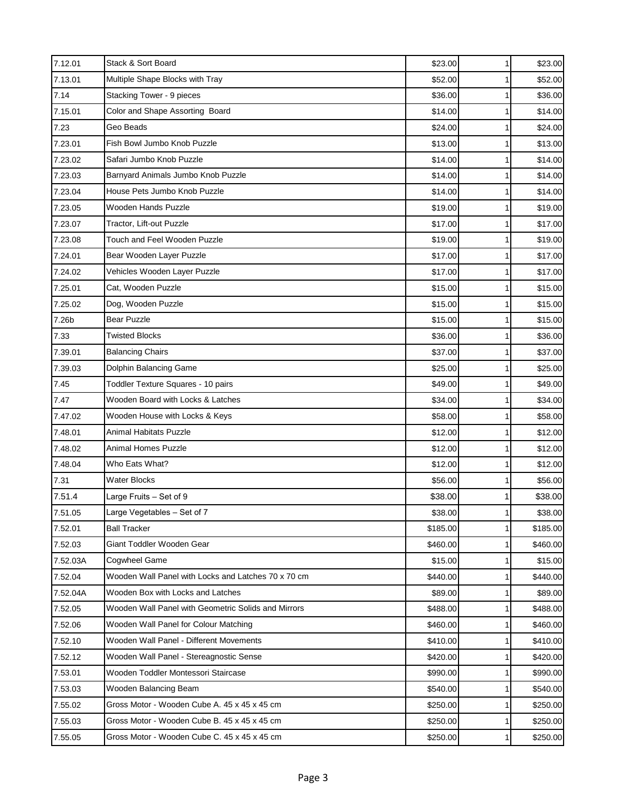| 7.12.01  | Stack & Sort Board                                  | \$23.00  | $\mathbf{1}$ | \$23.00  |
|----------|-----------------------------------------------------|----------|--------------|----------|
| 7.13.01  | Multiple Shape Blocks with Tray                     | \$52.00  | 1            | \$52.00  |
| 7.14     | Stacking Tower - 9 pieces                           | \$36.00  | 1            | \$36.00  |
| 7.15.01  | Color and Shape Assorting Board                     | \$14.00  | 1            | \$14.00  |
| 7.23     | Geo Beads                                           | \$24.00  | 1            | \$24.00  |
| 7.23.01  | Fish Bowl Jumbo Knob Puzzle                         | \$13.00  | 1            | \$13.00  |
| 7.23.02  | Safari Jumbo Knob Puzzle                            | \$14.00  | 1            | \$14.00  |
| 7.23.03  | Barnyard Animals Jumbo Knob Puzzle                  | \$14.00  | 1            | \$14.00  |
| 7.23.04  | House Pets Jumbo Knob Puzzle                        | \$14.00  | 1            | \$14.00  |
| 7.23.05  | Wooden Hands Puzzle                                 | \$19.00  | 1            | \$19.00  |
| 7.23.07  | Tractor, Lift-out Puzzle                            | \$17.00  | 1            | \$17.00  |
| 7.23.08  | Touch and Feel Wooden Puzzle                        | \$19.00  |              | \$19.00  |
| 7.24.01  | Bear Wooden Layer Puzzle                            | \$17.00  | 1            | \$17.00  |
| 7.24.02  | Vehicles Wooden Layer Puzzle                        | \$17.00  | 1            | \$17.00  |
| 7.25.01  | Cat, Wooden Puzzle                                  | \$15.00  | 1            | \$15.00  |
| 7.25.02  | Dog, Wooden Puzzle                                  | \$15.00  | 1            | \$15.00  |
| 7.26b    | <b>Bear Puzzle</b>                                  | \$15.00  | 1            | \$15.00  |
| 7.33     | <b>Twisted Blocks</b>                               | \$36.00  | $\mathbf{1}$ | \$36.00  |
| 7.39.01  | <b>Balancing Chairs</b>                             | \$37.00  | 1            | \$37.00  |
| 7.39.03  | Dolphin Balancing Game                              | \$25.00  | 1            | \$25.00  |
| 7.45     | Toddler Texture Squares - 10 pairs                  | \$49.00  |              | \$49.00  |
| 7.47     | Wooden Board with Locks & Latches                   | \$34.00  | 1            | \$34.00  |
| 7.47.02  | Wooden House with Locks & Keys                      | \$58.00  | 1            | \$58.00  |
| 7.48.01  | <b>Animal Habitats Puzzle</b>                       | \$12.00  | 1            | \$12.00  |
| 7.48.02  | Animal Homes Puzzle                                 | \$12.00  |              | \$12.00  |
| 7.48.04  | Who Eats What?                                      | \$12.00  | 1            | \$12.00  |
| 7.31     | Water Blocks                                        | \$56.00  |              | \$56.00  |
| 7.51.4   | Large Fruits - Set of 9                             | \$38.00  | 1            | \$38.00  |
| 7.51.05  | arge Vegetables - Set of 7                          | \$38.00  |              | \$38.00  |
| 7.52.01  | Ball Tracker                                        | \$185.00 | 1            | \$185.00 |
| 7.52.03  | Giant Toddler Wooden Gear                           | \$460.00 | 1            | \$460.00 |
| 7.52.03A | Cogwheel Game                                       | \$15.00  |              | \$15.00  |
| 7.52.04  | Wooden Wall Panel with Locks and Latches 70 x 70 cm | \$440.00 |              | \$440.00 |
| 7.52.04A | Wooden Box with Locks and Latches                   | \$89.00  | 1            | \$89.00  |
| 7.52.05  | Wooden Wall Panel with Geometric Solids and Mirrors | \$488.00 | 1            | \$488.00 |
| 7.52.06  | Wooden Wall Panel for Colour Matching               | \$460.00 | $\mathbf{1}$ | \$460.00 |
| 7.52.10  | Wooden Wall Panel - Different Movements             | \$410.00 | 1            | \$410.00 |
| 7.52.12  | Wooden Wall Panel - Stereagnostic Sense             | \$420.00 | $\mathbf{1}$ | \$420.00 |
| 7.53.01  | Wooden Toddler Montessori Staircase                 | \$990.00 | $\mathbf{1}$ | \$990.00 |
| 7.53.03  | Wooden Balancing Beam                               | \$540.00 | $\mathbf{1}$ | \$540.00 |
| 7.55.02  | Gross Motor - Wooden Cube A. 45 x 45 x 45 cm        | \$250.00 |              | \$250.00 |
| 7.55.03  | Gross Motor - Wooden Cube B. 45 x 45 x 45 cm        | \$250.00 | 1            | \$250.00 |
| 7.55.05  | Gross Motor - Wooden Cube C. 45 x 45 x 45 cm        | \$250.00 | 1            | \$250.00 |